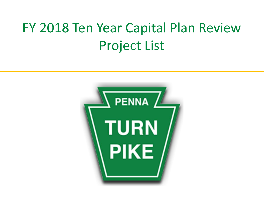# FY 2018 Ten Year Capital Plan Review Project List

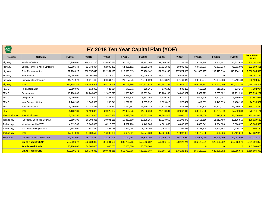| <b>TURN</b><br>PIKE    |                                     |               |               |             |              | FY 2018 Ten Year Capital Plan (YOE) |             |               |               |               |               |                                   |
|------------------------|-------------------------------------|---------------|---------------|-------------|--------------|-------------------------------------|-------------|---------------|---------------|---------------|---------------|-----------------------------------|
| Program                | Category                            | <b>FY2018</b> | FY2019        | FY2020      | FY2021       | FY2022                              | FY2023      | <b>FY2024</b> | FY2025        | <b>FY2026</b> | <b>FY2027</b> | <b>Total FINAL</b><br><b>PLAN</b> |
| Highway                | Roadway/Safety                      | 100,950,000   | 128,431,766   | 125,896,635 | 91,153,571   | 82,121,168                          | 79,060,366  | 72,338,238    | 76,117,914    | 72,840,202    | 76,877,638    | 905,787,498                       |
| Highway                | Bridge, Tunnel & Misc Structure     | 49,209,344    | 52,038,354    | 52,990,472  | 54, 335, 102 | 56,269,133                          | 57,811,503  | 58,881,050    | 60,507,373    | 73,837,033    | 75,801,098    | 591,680,461                       |
| Highway                | <b>Total Reconstruction</b>         | 177,786,025   | 208, 057, 443 | 232,951,195 | 218,870,815  | 175,496,162                         | 192,836,140 | 207.874.688   | 301, 383, 197 | 297,415,814   | 348, 134, 114 | 2,360,805,593                     |
| Highway                | Interchanges                        | 125,995,000   | 38,707,953    | 22,211,102  | 8,655,532    | 69,975,432                          | 74,117,311  | 76,088,832    |               |               |               | 415,751,162                       |
| Highway                | Highway Miscellaneous               | 41,214,973    | 39,211,403    | 30,661,754  | 26, 137, 976 | 26,500,029                          | 26,976,877  | 27,460,342    | 28, 190, 787  | 29,064,033    | 29,710,484    | 305,128,658                       |
| <b>Highway</b>         | <b>Total</b>                        | 495, 155, 342 | 466,446,919   | 464,711,159 | 399,152,996  | 410,361,925                         | 430,802,197 | 442,643,150   | 466, 199, 271 | 473,157,080   | 530,523,333   | 4,579,153,372                     |
| FEMO                   | Re-capitalization                   | 2,850,000     | 513,300       | 526,954     | 540,971      | 555,361                             | 570,133     | 585,299       | 600,868       | 616,851       | 633,259       | 7,992,994                         |
| FEMO                   | Sustainment                         | 16,180,000    | 26,260,428    | 12,625,813  | 11,338,747   | 12,939,901                          | 13,284,103  | 14,808,057    | 15,372,779    | 17,255,182    | 17,731,251    | 157,796,261                       |
| FEMO                   | Compliance                          | 3,000,000     | 3,079,800     | 3,161,723   | 3,245,825    | 3,332,163                           | 3,420,799   | 3,511,792     | 3,605,206     | 3,701,104     | 3,799,554     | 33,857,966                        |
| FEMO                   | New Energy Initiative               | 2,148,180     | 1,565,565     | 1,238,341   | 1,271,281    | 1,305,097                           | 1,339,813   | 1,375,452     | 1,412,039     | 1,449,599     | 1,488,159     | 14,593,527                        |
| FEMO                   | <b>Facilities Design</b>            | 6,930,000     | 11,780,235    | 21,473,367  | 11,062,852   | 16,549,745                          | 22.833.833  | 12.086.418    | 17, 124, 728  | 24,242,234    | 14.090.012    | 158,173,424                       |
| <b>FEMO</b>            | <b>Total</b>                        | 31.108.180    | 43,199,328    | 39.026.197  | 27.459.675   | 34.682.268                          | 41,448,681  | 32.367.018    | 38.115.620    | 47.264.970    | 37,742,234    | 372,414,171                       |
| <b>Fleet Equipment</b> | <b>Fleet Equipment</b>              | 8,538,750     | 18,478,800    | 18,970,336  | 18,393,006   | 18,882,259                          | 19,384,528  | 19,900,156    | 20,429,500    | 20,972,925    | 21,530,805    | 185,481,064                       |
| Technology             | <b>Functional Business Software</b> | 9,580,300     | 10,394,325    | 10,091,165  | 10,359,590   | 10,635,155                          | 10,918,050  | 11,208,470    | 11,506,616    | 11,811,458    | 12,115,510    | 108,620,639                       |
| Technology             | Infrastructure HW/SW                | 4,919,700     | 5,646,300     | 4,215,630   | 4,327,766    | 4,442,885                           | 4,561,065   | 4,682,390     | 4,806,941     | 4,934,806     | 5,066,072     | 47,603,555                        |
| Technology             | <b>Toll Collection/Operations</b>   | 2,894,000     | 1,847,880     | 1,897,034   | 1,947,495    | 1,999,298                           | 2,052,479   | 2,107,075     | 2, 163, 124   | 2,220,663     | 2,279,732     | 21,408,780                        |
| <b>Technology</b>      | <b>Total</b>                        | 17,394,000    | 17,888,505    | 16,203,829  | 16,634,851   | 17,077,338                          | 17,531,595  | 17,997,935    | 18,476,680    | 18,966,926    | 19,461,314    | 177,632,973                       |
| EN-00115               | <b>Cashless Tolling Conversion</b>  | 17,094,000    | 16,220,280    | 22,290,145  | 70,142,268   | 71,308,298                          | 62,999,715  | 65,213,982    | 42,901,950    | 61,944,150    | 17,097,992    | 447,212,779                       |
|                        | <b>Grand Total (PSEXP)</b>          | 569,290,272   | 562,233,832   | 561,201,665 | 531.782.795  | 552,312,087                         | 572.166.715 | 578,122,241   | 586,123,021   | 622.306.052   | 626,355,678   | 5,761,894,359                     |
|                        | <b>Reimbursed Funds</b>             | 70,200,000    | 34,200,000    | 600,000     | 20.000.000   | 20,000,000                          |             |               |               |               |               | 145,000,000                       |
|                        | <b>Grand Total (PSNET)</b>          | 499.090.272   | 528.033.832   | 560.601.665 | 511.782.795  | 532.312.087                         | 572.166.715 | 578.122.241   | 586.123.021   | 622.306.052   | 626.355.678   | 5.616.894.359                     |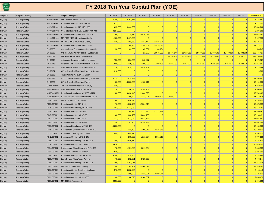

| Program | Program Category | Project      | <b>Project Description</b>               | FY2018     | FY2019     | FY2020     | FY2021     | FY2022     | FY2023     | FY2024     | FY2025     | FY2026     | FY2027     | <b>Overall Result</b> |
|---------|------------------|--------------|------------------------------------------|------------|------------|------------|------------|------------|------------|------------|------------|------------|------------|-----------------------|
| Highway | Roadway/Safety   | A-020.00R001 | Mid County Concrete Repairs              | 4,200,000  | 2,263,653  | $\Omega$   | $\Omega$   | $\Omega$   | $\Omega$   | 0          | $\Omega$   | $\Omega$   |            | 6,463,653             |
| Highway | Roadway/Safety   | A-049.00R001 | Bituminous Overlay, MP A49-A59           | 1,477,000  | $\Omega$   |            | $\Omega$   | $\Omega$   | $\Omega$   | $\Omega$   |            |            |            | 1,477,00              |
| Highway | Roadway/Safety   | A-076.00R001 | Bituminous Overlay MP A76 - A88          | 1,095,000  | 14,444,262 | $\Omega$   | $\Omega$   | $\Omega$   | $\Omega$   | $\Omega$   | $\Omega$   |            |            | 15,539,26             |
| Highway | Roadway/Safety   | A-088.00R002 | Concrete Removal & Bit. Overlay A88-A95  | 8,294,000  |            | $\Omega$   | $\Omega$   | $\Omega$   | $\Omega$   | $\Omega$   | $\Omega$   | $\Omega$   |            | 8,294,00              |
| Highway | Roadway/Safety   | A-095.00R003 | Bituminous Overlay MP A95 - A101.3       | 160,000    | 1,324,314  | 10,539,076 | $\Omega$   | $\Omega$   | $\Omega$   | $\Omega$   | $\Omega$   | $\Omega$   |            | 12,023,390            |
| Highway | Roadway/Safety   | A-115.00R001 | MP A115-A120.4 Bituminous Overlay        | 1,160,000  | 6,467,580  | $\Omega$   | $\Omega$   | $\Omega$   | $\Omega$   | $\Omega$   | $\Omega$   |            |            | 7,627,58              |
| Highway | Roadway/Safety   | A-120.40R002 | MP A120-A125 Bituminous Overlay          | 130,000    | 102,660    | 1,117,142  | 15,336,521 | $\Omega$   | $\Omega$   | $\Omega$   | $\Omega$   | $\Omega$   |            | 16,686,32             |
| Highway | Roadway/Safety   | A-125.00R002 | Bituminous Overlay MP A125 - A130        | $\Omega$   | 164,256    | 1,359,541  | 10,819,415 | $\Omega$   | $\Omega$   | $\Omega$   | $\Omega$   |            |            | 12,343,21             |
| Highway | Roadway/Safety   | EN-00028     | Access Ramp Construction - Systemwide    | 190,000    | 102,660    | 105,391    | 108,194    | $\Omega$   |            |            |            |            |            | 506,24                |
| Highway | Roadway/Safety   | EN-00033     | O/E Roadway Paving/Repairs - Systemwide  | $\Omega$   | $\Omega$   | 21,078     | 19,945,592 | 20,476,144 | 21,020,810 | 14,679,292 | 15,069,761 | 15,470,616 | 15,882,135 | 122,565,42            |
| Highway | Roadway/Safety   | EN-00039     | Mill and Pave Projects - Systemwide      | $\Omega$   | $\Omega$   | $\Omega$   | $\Omega$   | 55,758,201 | 56,785,263 | 56,371,289 | 59,726,245 | 56,012,514 | 59,602,33  | 344,255,84            |
| Highway | Roadway/Safety   | EN-00045     | Attenuator Replacement at Interchanges   | 750,000    | 256,650    | 263,477    | $\Omega$   | $\Omega$   | $\Omega$   | $\Omega$   | $\Omega$   |            |            | 1,270,127             |
| Highway | Roadway/Safety   | EN-00145     | Northeast Ext. Roadway Rehab MP A75-122  | 1,000,000  | 1,129,260  | 1.159.298  | 1,190,136  | 1,221,793  | 1.254.293  | 1,287,657  | 1,321,909  | 1,357,072  | 1,393,170  | 12,314,58             |
| Highway | Roadway/Safety   | EN-00160     | Conc Median Barrier Install-Systemwide   | 120,000    | 428,606    | 2,929,863  | $\Omega$   | $\Omega$   | $\Omega$   |            |            |            |            | 3,478,469             |
| Highway | Roadway/Safety   | EN-00161     | CY 16 Open End Roadway Paving & Repairs  | 210,000    | $\Omega$   | $\Omega$   | $\Omega$   | $\Omega$   | $\Omega$   | $\Omega$   | $\Omega$   | $\Omega$   |            | 210,00                |
| Highway | Roadway/Safety   | EN-00192     | <b>Truck Parking Improvement Study</b>   | $\Omega$   | $\Omega$   | $\Omega$   | $\Omega$   | $\Omega$   | $\Omega$   | $\Omega$   | $\Omega$   | $\Omega$   |            |                       |
| Highway | Roadway/Safety   | EN-00198     | CY 17 Open End Roadway Paving & Repairs  | 16,315,000 | 1.079.983  |            | $\Omega$   | $\Omega$   | $\Omega$   | $\Omega$   | $\Omega$   | $\Omega$   |            | 17,394,983            |
| Highway | Roadway/Safety   | EN-00224     | CY 18 Open End Roadway Paving            | 60,000     | 16,032,926 | 1,108,711  | $\Omega$   | $\Omega$   | $\Omega$   | $\Omega$   | $\Omega$   | $\Omega$   |            | 17,201,636            |
| Highway | Roadway/Safety   | G-004.70R001 | Toll 66 Superload Modification Study     | 1,210,000  | $\Omega$   | $\Omega$   | $\Omega$   | $\Omega$   | $\Omega$   | $\Omega$   | $\Omega$   | $\Omega$   |            | 1,210,00              |
| Highway | Roadway/Safety   | M-000.00R001 | Concrete Repairs MP M0.0 - M8.3          | 70,000     | 1,180,590  | 2,255,362  | $\Omega$   | $\Omega$   | $\Omega$   | $\Omega$   | $\Omega$   | $\Omega$   |            | 3,505,95              |
| Highway | Roadway/Safety   | M-032.40R001 | Bituminous Resurfacing MP M29.3-M54      | 100,000    | 8,623,440  | 11,066,029 | $\Omega$   | $\Omega$   | $\Omega$   | $\Omega$   | $\Omega$   | $\Omega$   |            | 19,789,46             |
| Highway | Roadway/Safety   | M-039.00R001 | Bit Resurface & Concrete Repair MP39-M57 | $\Omega$   | 205,320    | 1,211,994  | 5,680,193  | 4,665,029  | $\Omega$   | $\Omega$   | $\Omega$   | $\Omega$   |            | 11,762,53             |
| Highway | Roadway/Safety   | T-000.00R001 | MP 0-2.3 Bituminous Overlay              | 40,000     | 2,694,825  |            | $\Omega$   | $\Omega$   | $\Omega$   | $\Omega$   | $\Omega$   |            |            | 2,734,82              |
| Highway | Roadway/Safety   | T-009.00R001 | Bituminous Overlay MP 9 - 19             | 70,000     | 1,303,782  | 12,504,613 | $\Omega$   | $\Omega$   | $\Omega$   | $\Omega$   | $\Omega$   | $\Omega$   |            | 13,878,39             |
| Highway | Roadway/Safety   | T-019.00R002 | Bituminous Resurfacing, MP 19-28.5       | 1,104,000  | 14,444,262 |            | $\Omega$   | $\Omega$   | $\Omega$   | $\Omega$   | $\Omega$   | $\Omega$   |            | 15,548,262            |
| Highway | Roadway/Safety   | T-038.00R001 | Bituminous Overlay, MP 38-40             | $\Omega$   | 205,320    | 1,211,994  | 11,133,178 | $\Omega$   | $\Omega$   | $\Omega$   | $\Omega$   | $\Omega$   |            | 12,550,492            |
| Highway | Roadway/Safety   | T-047.00R001 | Bituminous Overlay, MP 47-56             | 60,000     | 1,303,782  | 10,844,709 | $\Omega$   | $\Omega$   | $\Omega$   | $\Omega$   | $\Omega$   |            |            | 12,208,49             |
| Highway | Roadway/Safety   | T-057.00R002 | Bituminous Overlay MP 57 - 67            | 121,000    | 1,077,930  | 13,832,537 | $\Omega$   | $\Omega$   | $\Omega$   | $\Omega$   | $\Omega$   | $\Omega$   |            | 15,031,467            |
| Highway | Roadway/Safety   | T-085.00R003 | Bituminous Overlay, MP 85-94             | 150,000    | 1,283,250  | 18,258,948 | $\Omega$   | $\Omega$   | $\Omega$   | $\Omega$   | $\Omega$   |            |            | 19,692,198            |
| Highway | Roadway/Safety   | T-109.00R002 | Bituminous Resurfacing MP 109-123        | 13,280,000 | $\Omega$   |            | $\Omega$   | $\Omega$   | $\Omega$   | $\Omega$   | $\Omega$   | $\Omega$   |            | 13,280,000            |
| Highway | Roadway/Safety   | T-109.00R003 | Shoulder and Slope Repairs, MP 109-123   | $\Omega$   | 123,192    | 1,190,916  | 9,315,516  | $\Omega$   | $\Omega$   | $\Omega$   | $\Omega$   | $\Omega$   |            | 10,629,624            |
| Highway | Roadway/Safety   | T-123.00R001 | Bituminous Surfacing MP 123-128          | 1,055,000  | 7,648,170  |            | $\Omega$   | $\Omega$   | $\Omega$   | $\Omega$   | $\Omega$   | $\Omega$   |            | 8,703,17              |
| Highway | Roadway/Safety   | T-142.00R002 | Bituminous Overlay, MP 142-148           | $\Omega$   | 205,320    | 1,211,994  | 6,361,816  | $\Omega$   | $\Omega$   | $\Omega$   | $\Omega$   | $\Omega$   |            | 7,779,130             |
| Highway | Roadway/Safety   | T-166.00R001 | Bituminous Resurfacing MP 166 - 174      | 1,190,000  | 7,545,510  | $\Omega$   | $\Omega$   | $\Omega$   | $\Omega$   | $\Omega$   | $\Omega$   | $\Omega$   |            | 8,735,51              |
| Highway | Roadway/Safety   | T-174.00R001 | Bituminous Overlay, MP 174-180           | 10,620,000 |            |            | $\Omega$   | $\Omega$   | $\Omega$   | $\Omega$   | $\Omega$   | $\Omega$   |            | 10,620,000            |
| Highway | Roadway/Safety   | T-174.00R002 | Shoulder and Slope Repairs, MP 174-180   | 73,000     | 1,151,845  | 5,311,694  | 0          | $\Omega$   | $\Omega$   | $\Omega$   | $\Omega$   | $\Omega$   |            | 6,536,53              |
| Highway | Roadway/Safety   | T-192.00R001 | MP 192-197 Bituminous Overlay            | 6,835,000  | $\Omega$   | $\Omega$   | $\Omega$   | $\Omega$   | $\Omega$   | $\Omega$   | $\Omega$   | $\Omega$   |            | 6,835,00              |
| Highway | Roadway/Safety   | T-248.00R001 | Bituminous Overlay, MP 246.7-255         | 9,350,000  | 538,965    | $\Omega$   | $\Omega$   | $\Omega$   | $\Omega$   | $\Omega$   | $\Omega$   | $\Omega$   |            | 9,888,965             |
| Highway | Roadway/Safety   | T-258.77R001 | Lawn Service Plaza Truck Parking         | 75,000     | 292,581    | 3,725,563  | $\Omega$   | $\Omega$   | $\Omega$   | $\Omega$   | $\Omega$   | $\Omega$   |            | 4,093,144             |
| Highway | Roadway/Safety   | T-268.00R001 | Bituminous Resurfacing MP 268 - 275      | 1,150,000  | 16,707,915 |            | $\Omega$   | $\Omega$   | $\Omega$   | $\Omega$   | $\Omega$   |            |            | 17,857,91             |
| Highway | Roadway/Safety   | T-282.00R002 | MP 282-292 Bituminous Overlay            | 100,000    | 1,765,752  | 12,504,613 | $\Omega$   | $\Omega$   | $\Omega$   | $\Omega$   | $\Omega$   | $\Omega$   |            | 14,370,36             |
| Highway | Roadway/Safety   | T-286.09R001 | Bituminous Overlay Reading Interchange   | 570,000    | 8,623,440  | $\Omega$   | $\Omega$   | $\Omega$   | $\Omega$   | $\Omega$   | $\Omega$   | ∩          |            | 9,193,440             |
| Highway | Roadway/Safety   | T-292.00R002 | Bituminous Overlay, MP 292-299           | $\Omega$   | 205,320    | 1,211,994  | 8,309,311  | $\Omega$   | $\Omega$   | $\Omega$   | $\Omega$   | $\Omega$   |            | 9,726,624             |
| Highway | Roadway/Safety   | T-299.00R002 | Bituminous Overlay, MP 299-306           | 100,000    | 1,180,590  | 8,188,862  | $\Omega$   | $\Omega$   | $\Omega$   | $\Omega$   | $\Omega$   | $\Omega$   |            | 9,469,452             |
| Highway | Roadway/Safety   |              | T-306.00R002 MP 306-312 Resurfacing      | 3,891,000  | $\Omega$   | $\Omega$   | $\Omega$   | $\Omega$   | $\Omega$   | $\Omega$   |            |            |            | 3,891,000             |
|         |                  |              |                                          |            |            |            |            |            |            |            |            |            |            |                       |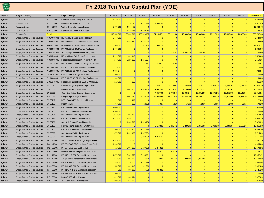| Program | Program Category                 | Project       | <b>Project Description</b>                   | FY2018      | FY2019      | FY2020      | FY2021     | FY2022     | FY2023     | FY2024     | FY2025         | FY2026         | FY2027     | <b>Overall Result</b> |
|---------|----------------------------------|---------------|----------------------------------------------|-------------|-------------|-------------|------------|------------|------------|------------|----------------|----------------|------------|-----------------------|
| Highway | Roadway/Safety                   | T-319.00R001  | Bituminous Resurfacing MP 319-326            | 8,830,000   |             |             |            |            |            |            |                |                |            | 8,830,000             |
| Highway | Roadway/Safety                   | T-331.00R001  | Bituminous Overlay, MP 331-334               | $\Omega$    | 205,320     | 1,211,994   | 2,953,700  | $\Omega$   | $\Omega$   | $\Omega$   | $\Omega$       | $\Omega$       |            | 4,371,014             |
| Highway | Roadway/Safety                   | T-342.91R001  | Willow Grove Interchange Ramps               | 5,670,000   | 4,958,478   |             |            | $\Omega$   | $\Omega$   | $\Omega$   | $\Omega$       | $\Omega$       |            | 10,628,478            |
| Highway | Roadway/Safety                   | T-353.00R001  | Bituminous Overlay, MP 353-355               | 75,000      | 1,160,058   | 1,549,244   |            |            | $\Omega$   | $\Omega$   | $\Omega$       | $\Omega$       |            | 2,784,302             |
| Highway | Roadway/Safety                   | <b>Result</b> |                                              | 100,950,000 | 128,431,766 | 125,896,635 | 91,153,571 | 82,121,168 | 79,060,366 | 72,338,238 | 76,117,914     | 72,840,202     | 76,877,638 | 905,787,498           |
| Highway | Bridge, Tunnels & Misc Structure | A-057.66S002  | NB-355 Rapid Mainline Replacement            | 6,740,000   |             | $\Omega$    |            |            | $\Omega$   | $\Omega$   | $\Omega$       | $\Omega$       |            | 6,740,000             |
| Highway | Bridge, Tunnels & Misc Structure | A-058.88S001  | NB-360 Rapid Superstructure Replacement      | $\Omega$    | 1,847,880   | 5,585,710   | $\Omega$   | $\Omega$   | $\Omega$   | $\Omega$   | $\Omega$       | $\Omega$       |            | 7,433,590             |
| Highway | Bridge, Tunnels & Misc Structure | A-059.22S001  | NB-363/NB-376 Rapid Mainline Replacement     | 240,000     |             | 8,431,260   | 8,655,532  | $\Omega$   | $\Omega$   | $\Omega$   | $\Omega$       | $\Omega$       |            | 17,326,792            |
| Highway | Bridge, Tunnels & Misc Structure | A-068.53S002  | MP A68.53 NB-391 Mainline Replacement        | 1,605,000   | $\Omega$    | $\Omega$    |            | $\Omega$   | $\Omega$   | $\Omega$   | $\Omega$       | $\Omega$       |            | 1,605,000             |
| Highway | Bridge, Tunnels & Misc Structure | A-070.26S006  | 2021 Lehigh Tunnel In-Depth Insp/Rehab       |             | $\Omega$    | $\Omega$    | $\Omega$   | 555.361    | 1.026.240  | 585.299    | $\Omega$       | $\Omega$       |            | 2,166,899             |
| Highway | Bridge, Tunnels & Misc Structure | A-088.59S001  | NB-610 Hawk Falls Bridge Replacement         | 1,110,000   | 410,640     |             | $\Omega$   | $\Omega$   | $\Omega$   | $\Omega$   | $\Omega$       | $\Omega$       |            | 1,520,640             |
| Highway | Bridge, Tunnels & Misc Structure | A-099.00S001  | Bridge Rehabilitations MP A-99 to A-128      | 240,000     | 2,207,190   | 1,211,994   | $\Omega$   | $\Omega$   | $\Omega$   | $\Omega$   | $\overline{0}$ | $\overline{0}$ |            | 3,659,184             |
| Highway | Bridge, Tunnels & Misc Structure | A-105.11S001  | NB-637/NB-638 Overhead Bridge Replacemnt     | $\Omega$    |             | 421,563     | 540,971    | 444,288    | $\Omega$   | $\Omega$   | $\Omega$       | $\Omega$       |            | 1,406,822             |
| Highway | Bridge, Tunnels & Misc Structure | A-115.84S001  | MP A115.84 NB-657 Bridge Elimination         | 25,000      | $\Omega$    |             |            | $\Omega$   | $\Omega$   | $\Omega$   | $\Omega$       | $\Omega$       |            | 25,000                |
| Highway | Bridge, Tunnels & Misc Structure | A-120.68S001  | MP A120.68 NB-709 Overhead Replacement -     | 4,784,344   | $\Omega$    | $\Omega$    | $\Omega$   | $\Omega$   | $\Omega$   | $\Omega$   | $\Omega$       | $\Omega$       |            | 4,784,344             |
| Highway | Bridge, Tunnels & Misc Structure | A-129.70S001  | <b>Clarks Summit Bridge Redecking</b>        | 100,000     |             |             |            |            | $\Omega$   | $\Omega$   | $\Omega$       | $\Omega$       |            | 100,000               |
| Highway | Bridge, Tunnels & Misc Structure | A-130.23S001  | MP A130.23 NB-751 Mainline Replacement       | 100,000     | $\Omega$    | $\Omega$    | $\Omega$   | $\Omega$   | $\Omega$   | $\Omega$   | $\Omega$       | $\Omega$       |            | 100,000               |
| Highway | Bridge, Tunnels & Misc Structure | C-001.14S001  | Bridge Elimination No.S-9370 MP C-001.19     | 210,000     | 51,330      | $\Omega$    |            | $\Omega$   | $\Omega$   | $\Omega$   | $\Omega$       | $\Omega$       |            | 261,330               |
| Highway | Bridge, Tunnels & Misc Structure | EN-00050      | Biennial Bridge Inspection - Systemwide      |             |             | 737,735     | 2,380,271  | 2,443,587  | 2,508,586  | 2,575,314  | 3,004,338      | 3,084,254      | 3,166,295  | 19,900,380            |
| Highway | Bridge, Tunnels & Misc Structure | EN-00051      | <b>Bridge Painting - Systemwide</b>          |             | 1,026,600   | 1,053,908   | 1,081,942  | 1,110,721  | 1,140,266  | 1,170,597  | 1,201,735      | 1,233,701      | 1,266,518  | 10,285,989            |
| Highway | Bridge, Tunnels & Misc Structure | EN-00052      | Open-End Bridge Repairs - Systemwide         |             |             | $\Omega$    | 4,327,766  | 9,774,346  | 10,034,344 | 10,301,257 | 10,575,271     | 10,856,573     | 11,145,358 | 67,014,914            |
| Highway | Bridge, Tunnels & Misc Structure | EN-00054      | <b>Bridge Projects - Systemwide</b>          |             | 9,034,080   | 9,485,168   | 25,966,596 | 33,321,634 | 35,348,256 | 37,459,117 | 42,060,736     | 55,516,566     | 56,993,306 | 305, 185, 460         |
| Highway | Bridge, Tunnels & Misc Structure | EN-00112      | DRB - PA / NJTA Coordinated Project          | 12,000      | 10,266      | $\Omega$    | $\Omega$   | $\Omega$   | $\Omega$   | $\Omega$   | $\Omega$       | $\Omega$       |            | 22,266                |
| Highway | Bridge, Tunnels & Misc Structure | EN-00155      | Permit Loads                                 | 60,000      | 51,330      | 52,695      | 54,097     | 55,536     | 57,013     | 58,530     | 60,087         | 61,685         | 63,326     | 574,299               |
| Highway | Bridge, Tunnels & Misc Structure | EN-00162      | CY 16 Open End Bridge Repairs                | 1,000,000   | $\Omega$    |             |            | $\Omega$   | $\Omega$   | $\Omega$   | $\Omega$       | $\Omega$       |            | 1,000,000             |
| Highway | Bridge, Tunnels & Misc Structure | EN-00183      | CY 16-17 Biennial Bridge Inspection          | 1,200,000   | $\Omega$    | $\Omega$    | $\Omega$   | $\Omega$   | $\Omega$   | $\Omega$   | $\Omega$       | $\Omega$       |            | 1,200,000             |
| Highway | Bridge, Tunnels & Misc Structure | EN-00184      | CY 17 Open End Bridge Repairs                | 5,940,000   | 872,610     | $\Omega$    | $\Omega$   | $\Omega$   | $\Omega$   | $\Omega$   | $\Omega$       | $\Omega$       |            | 6,812,610             |
| Highway | Bridge, Tunnels & Misc Structure | EN-00195      | CY 16-17 Biennial Tunnel Inspection          | 1,125,000   | 1,899,210   | $\Omega$    | $\Omega$   | $\Omega$   | $\Omega$   | $\Omega$   | $\Omega$       | $\Omega$       |            | 3,024,210             |
| Highway | Bridge, Tunnels & Misc Structure | EN-00196      | CY 18-19 Biennial Tunnel Inspection          |             | 1,642,560   | 1,686,252   |            |            |            |            |                |                |            | 3,328,812             |
| Highway | Bridge, Tunnels & Misc Structure | EN-00197      | <b>Biennial Tunnel Inspection Systemwide</b> |             |             |             | 2,163,883  | 2,221,442  | 2,280,533  | 2,341,195  | 3,004,338      | 3,084,254      | 3,166,295  | 18,261,939            |
| Highway | Bridge, Tunnels & Misc Structure | EN-00199      | CY 18-19 Biennial Bridge Inspection          | 800,000     | 2,258,520   | 1,264,689   |            | $\Omega$   | $\Omega$   | $\Omega$   | $\Omega$       | $\Omega$       |            | 4,323,209             |
| Highway | Bridge, Tunnels & Misc Structure | EN-00200      | CY 18 Open End Bridge Repairs                | 470,000     | 4,927,680   | 1,317,384   | $\Omega$   | $\Omega$   | $\Omega$   | $\Omega$   | $\Omega$       | $\Omega$       |            | 6,715,064             |
| Highway | Bridge, Tunnels & Misc Structure | EN-00231      | CY 19 Open End Bridge Repairs                | $\Omega$    |             | 5,058,756   | 1,352,427  | $\Omega$   | $\Omega$   | $\Omega$   | $\Omega$       | $\Omega$       |            | 6,411,183             |
| Highway | Bridge, Tunnels & Misc Structure | T-013.21S001  | WB-211 Beaver River Bridge Replacement       | 2,840,000   | 51,330      |             |            | $\Omega$   | $\Omega$   | $\Omega$   | $\Omega$       | $\Omega$       |            | 2,891,330             |
| Highway | Bridge, Tunnels & Misc Structure | T-020.47S002  | MP 20.47 WB-224B Mainline Bridge Replac      | 4,965,000   |             |             |            | $\Omega$   | $\Omega$   | $\Omega$   | $\Omega$       | $\Omega$       |            | 4,965,000             |
| Highway | Bridge, Tunnels & Misc Structure | T-028.01S002  | MP 28.01 WB-308 Overhead Bridge              | 110,000     | 2,053,200   | 5,269,538   | 3,245,825  | $\Omega$   | $\Omega$   | $\Omega$   | $\Omega$       | $\Omega$       |            | 10,678,562            |
| Highway | Bridge, Tunnels & Misc Structure | T-109.93S001  | Rehabilitation of Bridge B-348 MP 109.93     | $\Omega$    |             |             | 238,027    | 955,220    | $\Omega$   | $\Omega$   | $\Omega$       | $\Omega$       |            | 1,193,247             |
| Highway | Bridge, Tunnels & Misc Structure | T-110.12S001  | MP 110.12 B-502 Overhead Replacement         | 1,570,000   | 6,621,570   | 2,265,901   | $\Omega$   | $\Omega$   | $\Omega$   | $\Omega$   | $\Omega$       | $\Omega$       |            | 10,457,471            |
| Highway | Bridge, Tunnels & Misc Structure | T-122.18S002  | Allegh Tunnel Transportation Improvement     | 240,000     | 2,053,200   | 2,107,815   | 2,163,883  | 2,221,442  | 2,280,533  | 2,341,195  | $\Omega$       | $\Omega$       |            | 13,408,068            |
| Highway | Bridge, Tunnels & Misc Structure | T-141.59S001  | MP 141.59 B-507 Overhead Replacement         | 180,000     | 205,320     | 1,264,689   | $\Omega$   | $\Omega$   | $\Omega$   | $\Omega$   | $\Omega$       | $\Omega$       |            | 1,650,009             |
| Highway | Bridge, Tunnels & Misc Structure | T-144.85S001  | MP 144.85 B-510 Overhead Replacement         | 250,000     | 410,640     | 421,563     |            | $\Omega$   | $\Omega$   | $\Omega$   | $\Omega$       | $\Omega$       |            | 1,082,203             |
| Highway | Bridge, Tunnels & Misc Structure | T-148.06S001  | MP T148.06 B-140 Mainline Replacement        | 75,000      | 307,980     | 737,735     | 324,582    | $\Omega$   | $\Omega$   | $\Omega$   | $\Omega$       | $\Omega$       |            | 1,445,298             |
| Highway | Bridge, Tunnels & Misc Structure | T-172.88S002  | MP 172.88 B-521A Mainline Replacement        | 100,000     | $\Omega$    |             |            | $\Omega$   | $\Omega$   | $\Omega$   | $\Omega$       | $\Omega$       |            | 100,000               |
| Highway | Bridge, Tunnels & Misc Structure | T-179.08S001  | B-404/B-485 Bridge Painting                  | 420,000     | 657,024     | $\Omega$    |            | $\Omega$   | $\Omega$   | $\Omega$   | $\Omega$       | $\Omega$       |            | 1,077,024             |
| Highway | Bridge, Tunnels & Misc Structure | T-186.20S004  | <b>Tuscarora Tunnel Rehabilitation</b>       | 300,000     | 513,300     |             |            |            |            | $\Omega$   | $\Omega$       | $\Omega$       |            | 813,300               |
|         |                                  |               |                                              |             |             |             |            |            |            |            |                |                |            |                       |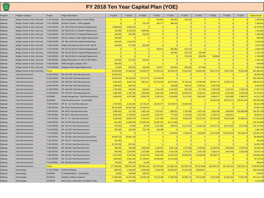| Program | Program Category                 | Project      | <b>Project Description</b>                | FY2018      | FY2019         | FY2020         | FY2021       | FY2022      | FY2023      | FY2024      | FY2025      | FY2026      | FY2027        | <b>Overall Result</b> |
|---------|----------------------------------|--------------|-------------------------------------------|-------------|----------------|----------------|--------------|-------------|-------------|-------------|-------------|-------------|---------------|-----------------------|
| Highway | Bridge, Tunnels & Misc Structure | T-197.48S003 | Blue Mountain/Kittatinny Tunnel Rehab     | $\Omega$    | 0              | $\Omega$       | 324,582      | 555,361     | 570,133     |             |             |             |               | 1,450,076             |
| Highway | Bridge, Tunnels & Misc Structure | T-197.48S006 | Blue/Kitt Tunnels - Portal Upgrade        | $\Omega$    | $\Omega$       | 210,782        | 432,777      | 666,433     | $\Omega$    |             |             |             |               | 1,309,991             |
| Highway | Bridge, Tunnels & Misc Structure | T-228,54S001 | MP 228.54 EB-103 Mainline Replacement     | 9,698,000   | 5,081,670      | $\Omega$       | $\Omega$     | $\Omega$    | $\Omega$    | $\Omega$    |             |             |               | 14,779,670            |
| Highway | Bridge, Tunnels & Misc Structure | T-238.09S001 | MP 238.09 EB-117 Mainline Replacement     | 700,000     | 5,133,000      | 1,580,861      | $\Omega$     | $\Omega$    | $\Omega$    | $\Omega$    | $\Omega$    |             |               | 7,413,861             |
| Highway | Bridge, Tunnels & Misc Structure | T-250.09S001 | MP 250.09 EB-311 Overhead Replacement     | 240,000     | 307,980        | 632,345        | $\Omega$     | $\Omega$    | $\Omega$    | $\Omega$    | $\Omega$    | $\Omega$    |               | 1,180,325             |
| Highway | Bridge, Tunnels & Misc Structure | T-251.08S002 | EB-314 Swatara Creek Bridge Replacement   | 240,000     | $\Omega$       | $\Omega$       | $\Omega$     | $\Omega$    | $\Omega$    | $\Omega$    | $\Omega$    |             |               | 240,000               |
| Highway | Bridge, Tunnels & Misc Structure | T-288.10S001 | MP 288.10 EB-548 Overhead Redecking       | 590,000     | 1,642,560      | $\Omega$       | $\Omega$     | $\Omega$    | $\Omega$    | $\Omega$    | $\Omega$    | $\Omega$    |               | 2,232,560             |
| Highway | Bridge, Tunnels & Misc Structure | T-336.53S002 | Bridge Elimination No.DB-132 MP 336.58    | 210,000     | 277,182        | 832,587        | $\Omega$     | $\Omega$    | $\Omega$    | $\Omega$    | $\Omega$    |             |               | 1,319,769             |
| Highway | Bridge, Tunnels & Misc Structure | T-347.60S001 | MP 347.60 DB-207 Overhead Replacement     | $\Omega$    | $\Omega$       | $\Omega$       | 540,971      | 555,361     | 570,133     | $\Omega$    | $\Omega$    |             |               | 1,666,464             |
| Highway | Bridge, Tunnels & Misc Structure | T-348.25S001 | MP 348.25 DB-210 Overhead Replacement ca  | $\Omega$    | $\overline{0}$ | $\overline{0}$ | 0            | 555,361     | 570,133     | 585,299     | $\Omega$    | $\Omega$    |               | 1,710,792             |
| Highway | Bridge, Tunnels & Misc Structure | T-349.38S001 | MP 349.38 DB-213 Overhead Replacement     |             | $\Omega$       | $\Omega$       | $\Omega$     | $\Omega$    | 570,133     | 585,299     | 600,868     |             |               | 1,756,300             |
| Highway | Bridge, Tunnels & Misc Structure | T-349.56S001 | Bridge Elimination No. DB-214 MP 349.61   | 210,000     | 277,182        | 832,587        | $\Omega$     | $\Omega$    | $\Omega$    | $\Omega$    | $\Omega$    | $\Omega$    |               | 1,319,769             |
| Highway | Bridge, Tunnels & Misc Structure | T-359.00S001 | DRB Emergency Repairs 2017                | 500,000     | $\Omega$       | $\Omega$       | $\Omega$     | $\Omega$    | $\Omega$    | $\Omega$    |             |             |               | 500,000               |
| Highway | Bridge, Tunnels & Misc Structure | T-359.00S002 | Delaware River Bridge Replacement         | 10,000      | 205,320        | 526,954        | 540,971      | 833,041     | 855,200     | 877,948     |             |             |               | 3,849,433             |
| Highway | Bridge, Tunnels & Misc Structure | Result       |                                           | 49,209,344  | 52,038,354     | 52,990,472     | 54, 335, 102 | 56,269,133  | 57,811,503  | 58,881,050  | 60,507,373  | 73,837,033  | 75,801,098    | 591,680,461           |
| Highway | <b>Total Reconstruction</b>      | A-020.00T002 | MP A20-A30 Total Reconstruction           | 18,530,519  | $\Omega$       | $\Omega$       | $\Omega$     | $\Omega$    | $\Omega$    |             |             |             |               | 18,530,519            |
| Highway | <b>Total Reconstruction</b>      | A-031.00T001 | MP A31-A38 Total Reconstruction           | 16,385,600  | 90,443,460     | 74,774,741     | 54,746,240   | $\Omega$    |             | $\Omega$    | $\Omega$    |             |               | 236,350,041           |
| Highway | <b>Total Reconstruction</b>      | A-037.50T001 | MP A38-A44 Total Reconstruction           | 9,625,600   | 3,849,750      | 7,851,611      | 20,746,228   | 58,729,381  | 79,704,616  | 14,398,348  | 40,979,174  | 32,569,719  |               | 268, 454, 427         |
| Highway | <b>Total Reconstruction</b>      | A-044.00T001 | MP A44-A48 Total Reconstruction           | 1,080,000   | 369,576        |                |              | 166,608     | 456,107     | 1,580,307   | 5,287,635   |             |               | 8,940,233             |
| Highway | <b>Total Reconstruction</b>      | A-048.00T001 | MP A48-A53 Total Reconstruction           | 1,925,000   | 410,640        | 526,954        | 1,731,106    | 5,164,853   | 855,200     | 877,948     | 3,605,206   | 1,233,701   | 1,266,518     | 17,597,127            |
| Highway | <b>Total Reconstruction</b>      | A-053.00T001 | MP A53-A57 Total Reconstruction           | 1,800,000   | 2,730,756      | 1,053,908      | 1,081,942    | 2,299,193   | 16,659,291  | 3,160,613   | 6,609,544   | 6,242,529   | 2,533,036     | 44,170,811            |
| Highway | <b>Total Reconstruction</b>      | EN-00040     | Design Management - Total Reconstructions | 4,800,000   | 4,927,680      | 5,058,756      | 5,193,319    | 6,108,966   | 6,271,465   | 5,852,987   | 6,008,677   | 4,934,806   | 5,066,072     | 54,222,728            |
| Highway | <b>Total Reconstruction</b>      | EN-00048     | <b>Total Reconstructions - Systemwide</b> | $\Omega$    | $\Omega$       | $\Omega$       | $\Omega$     | $\Omega$    | $\Omega$    |             | 44,464,206  | 28,375,134  | 130,451,346   | 203,290,686           |
| Highway | <b>Total Reconstruction</b>      | T-028.45T001 | MP 28 - 31 Total Reconstruction           | 2,375,000   | 2,125,062      | 16,725,197     | 28,229,477   | 23,493,974  | 13,483,649  |             |             |             |               | 86,432,358            |
| Highway | <b>Total Reconstruction</b>      | T-040.00T001 | MP 40-48 Total Reconstruction             | 36,710,000  | 36,957,600     | 24,239,874     | $\Omega$     | $\Omega$    |             |             |             |             |               | 97,907,474            |
| Highway | <b>Total Reconstruction</b>      | T-049.00T001 | MP 49-53 Total Reconstrcution             | 2,885,600   | 722,726        | 5,692,155      | 3,570,407    | 1,388,401   | 1,140,266   | 2,341,195   | 3,605,206   | 2,960,884   | 105.880.898   | 130, 187, 738         |
| Highway | <b>Total Reconstruction</b>      | T-053.00T001 | MP 53-57 Total Reconstruction             | 4,895,000   | 6,738,602      | 3,203,879      | 6,902,787    | 777,505     | 1,140,266   | 2,341,195   | 2,403,471   | 1,603,812   |               | 30,006,517            |
| Highway | <b>Total Reconstruction</b>      | T-057.00T001 | MP 57 - 67 Total Reconstruction           | 3,698,000   | 10,640,709     | 3,794,067      | 2,217,980    | 333,216     | 8,038,878   | 51,272,167  | 50,232,536  | 36,579,248  | 11,006,04     | 177,812,842           |
| Highway | <b>Total Reconstruction</b>      | T-099.00T002 | MP 99-109 Total Reconstruction            | 861,683     | 17,965,500     | 51,009,126     | 54,097,075   | 20,770,485  |             |             |             |             |               | 144,703,869           |
| Highway | <b>Total Reconstruction</b>      | T-129.00T001 | MP 128-134 Total Reconstruction           | 676,000     | 10,266         | 10,539         | 2,217,980    | 699,754     | 11,471,079  | 73,396,458  | 76,670,712  | 60,377,350  | 6,617,556     | 232, 147, 694         |
| Highway | <b>Total Reconstruction</b>      | T-149.50T002 | MP 149-155 Total Reconstruction           | 550,000     | 102,660        | 737,735        | 216,388      | $\Omega$    | $\Omega$    | $\Omega$    |             |             |               | 1,606,784             |
| Highway | <b>Total Reconstruction</b>      | T-179.50T001 | MP 180-186 Total Reconstruction           |             |                | $\Omega$       | $\Omega$     | 2,165,906   | 2,223,519   | 2,282,665   | 21,414,923  | 116,518,168 | 80,246,575    | 224,851,757           |
| Highway | <b>Total Reconstruction</b>      | T-202.00T001 | MP 202-206 Total Reconstruction(Constr)   | 40,583,724  | 20,015,139     | $\Omega$       | $\Omega$     | $\Omega$    |             |             |             |             |               | 60,598,863            |
| Highway | <b>Total Reconstruction</b>      | T-220.00T001 | MP 220-227 Total Reconstruction (Constr)  | 410,000     | $\Omega$       | $\Omega$       | $\Omega$     | $\Omega$    | $\Omega$    | $\Omega$    | $\Omega$    |             |               | 410,000               |
| Highway | <b>Total Reconstruction</b>      | T-242.00T002 | MP 242-245 Total Reconstruction           | 23,742,299  | 597,464        | $\Omega$       | $\Omega$     | $\Omega$    |             |             |             |             |               | 24,339,763            |
| Highway | <b>Total Reconstruction</b>      | T-298.00T001 | MP 298-302 Total Reconstrcution           | 200,000     | 769,950        | 1,053,908      | 1,168,497    | 4,987,138   | 1,573,568   | 5,536,926   | 11,260,260  | 3,553,060   | 2,533,036     | 32,636,341            |
| Highway | <b>Total Reconstruction</b>      | T-302.00T001 | MP 302-308 Total Reconstruction           | 850,000     | 1,539,900      | 1,870,686      | 2,464,663    | 6,231,146   | 7,172,275   | 2,341,195   | 2,403,471   | 2,467,403   | 2,533,036     | 29,873,774            |
| Highway | <b>Total Reconstruction</b>      | T-308.00T001 | MP 308-312 Total Reconstruction           | 2,472,000   | 3,341,583      | 14, 164, 518   | 9,943,042    | 22,464,335  | 42,645,961  | 42,492,686  | 26,438,177  | $\Omega$    |               | 163,962,302           |
| Highway | <b>Total Reconstruction</b>      | T-312.00T003 | MP 312-320 Total Reconstruction           | 1,990,000   | 3,593,100      | 21,130,847     | 24,343,684   | 19,715,300  | $\Omega$    | $\Omega$    |             |             |               | 70,772,931            |
| Highway | <b>Total Reconstruction</b>      | T-319.00T001 | MP 320-326 Total Reconstruction           | 740,000     | 205,320        | 52,695         |              |             |             |             |             |             |               | 998,015               |
| Highway | <b>Total Reconstruction</b>      | Result       |                                           | 177,786,025 | 208,057,443    | 232,951,195    | 218,870,815  | 175,496,162 | 192,836,140 | 207,874,688 | 301,383,197 | 297,415,814 | 348, 134, 114 | 2,360,805,593         |
| Highway | Interchanges                     | A-115.70P001 | <b>Scranton Beltway</b>                   | 500,000     | 1,539,900      | 5,269,538      | 5,409,708    | 55,536,057  | 57,013,316  | 58,529,871  | $\Omega$    |             |               | 183,798,390           |
| Highway | Interchanges                     | EN-00061     | I/C Rehabilitations - Systemwide          | 10,000      | 102,660        | 105,391        | $\Omega$     | $\Omega$    | $\Omega$    |             |             |             |               | 218,051               |
| Highway | Interchanges                     | EN-00115     | <b>Cashless Tolling Conversion</b>        | 17,094,000  | 16,220,280     | 22,290,145     | 70,142,268   | 71,308,298  | 62,999,715  | 65,213,982  | 42,901,950  | 61,944,150  | 17,097,992    | 447,212,779           |
| Highway | Interchanges                     | EN-00143     | Mid-County to Bensalem Feasibility Study  | 500,000     | 513,300        | $\Omega$       | $\Omega$     | $\Omega$    | $\Omega$    | $\Omega$    | $\Omega$    |             |               | 1,013,300             |
|         |                                  |              |                                           |             |                |                |              |             |             |             |             |             |               |                       |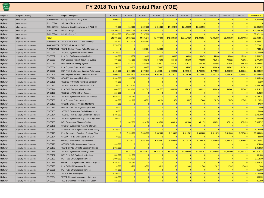| Program | Program Category             | Project       | <b>Project Description</b>                     | FY2018       | FY2019     | FY2020     | FY2021     | FY2022      | FY2023        | FY2024      | FY2025     | FY2026     | FY2027     | <b>Overall Result</b> |
|---------|------------------------------|---------------|------------------------------------------------|--------------|------------|------------|------------|-------------|---------------|-------------|------------|------------|------------|-----------------------|
| Highway | Interchanges                 | S-002.60P001  | <b>Findlay Cashless Tolling Point</b>          | 5,000,000    |            |            |            |             |               |             |            |            |            | 5,000,000             |
| Highway | Interchanges                 | T-319.30P001  | SR 29 All-Electronic I/C                       | $\Omega$     |            |            |            |             |               |             |            |            |            |                       |
| Highway | Interchanges                 | T-331.60P002  | Lafayette Street Interchange at MP331.60       | 75,000       | 513,300    | 5,269,538  | 3,245,825  | 14,439,375  | 17, 103, 995  | 17,558,961  |            |            |            | 58,205,993            |
| Highway | Interchanges                 | T-355.00P001  | I-95 I/C - Stage 1                             | 101,300,000  | 21,024,768 | 5,269,538  | $\Omega$   |             |               |             |            |            |            | 127,594,306           |
| Highway | Interchanges                 |               | T-355.00P002 I-95 VC - Stage 2                 | 18,610,000   | 15,014,025 | 6,297,098  | $\Omega$   | $\Omega$    |               |             |            |            |            | 39,921,123            |
| Highway | Interchanges                 | <b>Result</b> |                                                | 143,089,000  | 54,928,233 | 44,501,247 | 78,797,800 | 141,283,730 | 137, 117, 026 | 141,302,814 | 42,901,950 | 61,944,150 | 17,097,992 | 862,963,94            |
| Highway | <b>Highway Miscellaneous</b> | A-020.00M001  | TEOITS MP A20-A131 DMS Pre-entry               | 494,412      | 3,412,008  | 1,928,651  | $\Omega$   |             |               |             |            |            |            | 5,835,07              |
| Highway | <b>Highway Miscellaneous</b> | A-042.00M001  | TEOITS MP A42-A129 DMS                         | 3,770,659    | $\Omega$   | $\Omega$   | $\Omega$   |             |               |             |            |            |            | 3,770,659             |
| Highway | <b>Highway Miscellaneous</b> | A-070.26M001  | <b>TEOTEC Lehigh Tunnel Traffic Management</b> |              | $\Omega$   | 526,954    | 216,388    | $\Omega$    |               |             |            |            |            | 743,34                |
| Highway | <b>Highway Miscellaneous</b> | EN-00031      | <b>TEOENG Systemwide Traffic Studies</b>       | 1,170,000    | $\Omega$   | $\Omega$   | $\Omega$   | $\Omega$    | $\Omega$      |             |            |            |            | 1,170,000             |
| Highway | <b>Highway Miscellaneous</b> | EN-00037      | PLN PennDOT/Agency Coordination                | 200,000      | 225,852    | 126,469    | 129,833    | 133,287     | 136,832       | 140,472     | 144,208    | 148,044    | 151,982    | 1,536,97              |
| Highway | <b>Highway Miscellaneous</b> | EN-00062      | <b>DSN Engineer Project Document System</b>    | 600,000      | 615,960    | 632,345    | 649,165    | 666,433     | 684,160       | 702,358     | 721,041    | 740,221    | 759,91     | 6,771,593             |
| Highway | <b>Highway Miscellaneous</b> | EN-00063      | <b>DSN Electronic Bidding System</b>           | 500,000      | 513,300    | 526,954    | 540,971    | 555,361     | 570,133       | 585,299     | 600,868    | 616,851    | 633,259    | 5,642,99              |
| Highway | <b>Highway Miscellaneous</b> | EN-00064      | PLN Engineer Project Audit Services            | 250,000      | 256,650    | 263,477    | 270,485    | 277,680     | 285,067       | 292,649     | 300,434    | 308,425    | 316,629    | 2,821,497             |
| Highway | <b>Highway Miscellaneous</b> | EN-00092      | DSN FY18 Systemwide Engineer Automation        | 1,165,000    | 1,052,265  | 1,976,077  | 2,136,834  | 2,082,602   | 1,909,946     | 1,726,631   | 1,772,560  | 1,943,080  | 1,868,114  | 17,633,109            |
| Highway | <b>Highway Miscellaneous</b> | EN-00103      | DSN Engineer Project Collaborate System        | 1,000,000    | 1,026,600  | 1,053,908  | 1,081,942  | 1,110,721   | 1,140,266     | 1,170,597   | 1,201,735  | 1,233,701  | 1,266,518  | 11,285,989            |
| Highway | <b>Highway Miscellaneous</b> | EN-00124      | GEO FY18 Systemwide Projects                   | 1,200,000    | 205,320    | $\Omega$   | $\Omega$   | $\Omega$    | $\Omega$      |             |            |            |            | 1,405,320             |
| Highway | <b>Highway Miscellaneous</b> | EN-00131      | TEOENG PTC Traffic Flow Data Collection        | 65,200       | $\Omega$   | $\Omega$   | $\Omega$   | $\Omega$    | $\Omega$      |             |            |            |            | 65,200                |
| Highway | <b>Highway Miscellaneous</b> | EN-00132      | TEOENG MP 10-28 Traffic Count Data             | 170,000      | 1,129,260  |            |            |             |               |             |            |            |            | 1,299,260             |
| Highway | <b>Highway Miscellaneous</b> | EN-00144      | PLN FY16 Transportation Planning               | 400,000      | 410,640    | 421,563    | 432,777    | 444,288     | 456,107       | 468,239     | 480,694    | 493,481    | 506,607    | 4,514,395             |
| Highway | <b>Highway Miscellaneous</b> | EN-00150      | TEOENG MP M0-54 Sign Replace                   | 210,250      | $\Omega$   |            |            |             |               |             |            |            |            | 210,250               |
| Highway | <b>Highway Miscellaneous</b> | EN-00151      | <b>TEOENG Systemwide Pavement Markings</b>     | 3,636,000    | 107,793    | $\Omega$   | $\Omega$   |             |               |             |            |            |            | 3,743,793             |
| Highway | <b>Highway Miscellaneous</b> | EN-00156      | PLN Engineer Project Claims                    | 100,000      | 102,660    | 105,391    | 108,194    | 111,072     | 114,027       | 117,060     | 120,174    | 123,370    | 126,652    | 1,128,599             |
| Highway | <b>Highway Miscellaneous</b> | EN-00157      | <b>STEENV Engineer Projects Monitoring</b>     | 47,360       | $\Omega$   | $\Omega$   | $\Omega$   |             |               |             |            |            |            | 47,360                |
| Highway | <b>Highway Miscellaneous</b> | EN-00159      | DSN FY14-16 O/E Engineering Services           | 10,000       | $\Omega$   | $\Omega$   | $\Omega$   | $\Omega$    | $\Omega$      |             |            |            |            | 10,000                |
| Highway | <b>Highway Miscellaneous</b> | EN-00163      | STEBMP Systemwide Basin Maintenance            | 50,000       | $\Omega$   | $\Omega$   | $\Omega$   | $\Omega$    | n             |             |            |            |            | 50,000                |
| Highway | <b>Highway Miscellaneous</b> | EN-00164      | TEOENG FY15-17 Major Guide Sign Replace        | 1,785,000    | $\Omega$   | $\Omega$   | $\Omega$   | $\Omega$    | $\Omega$      | $\Omega$    |            |            |            | 1,785,000             |
| Highway | <b>Highway Miscellaneous</b> | EN-00165      | TEOENG Systemwide Major Guide Sign Plan        | 360,000      | $\Omega$   | $\Omega$   | $\Omega$   | $\Omega$    |               |             |            |            |            | 360,000               |
| Highway | <b>Highway Miscellaneous</b> | EN-00168      | DSN Systemwide Planning-Design                 | $\Omega$     | 307,980    | 316,172    | 324,582    | 333,216     | 342,080       | 351,179     | 360,521    | 370,110    | 379,955    | 3,085,79              |
| Highway | <b>Highway Miscellaneous</b> | EN-00171      | STEGEN Systemwide Planning-Site work           |              | $\Omega$   | $\Omega$   | $\Omega$   | $\Omega$    |               |             |            |            |            |                       |
| Highway | <b>Highway Miscellaneous</b> | EN-00172      | STETRE FY17-19 Systemwide Tree Clearing        | 4,140,000    | $\Omega$   | $\Omega$   | $\Omega$   |             |               |             |            |            |            | 4,140,000             |
| Highway | <b>Highway Miscellaneous</b> | EN-00173      | PLN Systemwide Planning - Strategic Plan       | $\Omega$     | 6,159,600  | 6,850,399  | 7,032,620  | 7,219,687   | 7,411,731     | 7,608,883   | 7,811,279  | 8,019,060  | 8,232,366  | 66,345,626            |
| Highway | <b>Highway Miscellaneous</b> | EN-00174      | STEBMP FY 17-18 Road/Drain Repairs             | 40,000       | $\Omega$   | $\Omega$   | $\Omega$   |             |               |             |            |            |            | 40,000                |
| Highway | <b>Highway Miscellaneous</b> | EN-00175      | GEO Systemwide Planning - Geotech              | $\Omega$     | 1,230,277  | 1,584,445  | 1,626,591  | 1,669,858   | 1,714,276     | 1,759,876   | 1,806,689  | 1,854,747  | 1,904,083  | 15, 150, 84           |
| Highway | <b>Highway Miscellaneous</b> | EN-00176      | STEMS4 FY17-19 Stormwater Program              | 624,000      | $\Omega$   | $\Omega$   | $\Omega$   |             |               |             |            |            |            | 624,000               |
| Highway | <b>Highway Miscellaneous</b> | EN-00178      | TEOTEC FY16-18 Traffic Operation Studies       | 1,052,928    | $\Omega$   | $\Omega$   | $\Omega$   |             |               |             |            |            |            | 1,052,928             |
| Highway | <b>Highway Miscellaneous</b> | EN-00186      | <b>TEOENG Systemwide Planning-Traffic</b>      | $\mathbf{0}$ | 11,241,270 | 11,276,811 | 11,576,774 | 11,884,716  | 12,200,850    | 12,525,392  | 12,858,568 | 13,200,606 | 13,551,742 | 110,316,728           |
| Highway | <b>Highway Miscellaneous</b> | EN-00187      | DSN FY18 O/E Engineering Services              | 500,000      | 51,330     | $\Omega$   | $\Omega$   | $\Omega$    |               |             |            |            |            | 551,330               |
| Highway | <b>Highway Miscellaneous</b> | EN-00188      | PLN FY18 GCE Engineer Services                 | 6,000,000    | 513,300    | $\Omega$   | $\Omega$   | $\Omega$    |               |             |            |            |            | 6,513,300             |
| Highway | <b>Highway Miscellaneous</b> | EN-00189      | GEO FY17-18 Systemwide Geotech Projects        | 2,398,400    | 107,793    | $\Omega$   | $\Omega$   |             |               |             |            |            |            | 2,506,193             |
| Highway | <b>Highway Miscellaneous</b> | EN-00193      | PLN FY16-18 Engineering Training               | 10,000       | 10,266     | 10,539     | 10,819     | 11,107      | 11,403        | 11,706      | 12,017     | 12,337     | 12,665     | 112,860               |
| Highway | <b>Highway Miscellaneous</b> | EN-00201      | PLN FY17 GCE Engineer Services                 | 455,000      | $\Omega$   | $\Omega$   | $\Omega$   |             |               |             |            |            |            | 455,000               |
| Highway | <b>Highway Miscellaneous</b> | EN-00203      | <b>TEOITS ATMS Deployment</b>                  | 1,150,000    | $\Omega$   | $\Omega$   | $\Omega$   | $\Omega$    | $\Omega$      |             |            |            |            | 1,150,000             |
| Highway | <b>Highway Miscellaneous</b> | EN-00204      | <b>TEOTEC Incident Management Initiatives</b>  | 668,959      | $\Omega$   | $\Omega$   | $\Omega$   | $\Omega$    | $\Omega$      |             |            |            |            | 668,959               |
| Highway | <b>Highway Miscellaneous</b> | EN-00205      | <b>TEOTEC Connected Vehicle/Fleet Study</b>    | 315,000      | $\Omega$   | $\Omega$   | $\Omega$   | $\Omega$    | $\Omega$      |             |            |            |            | 315,000               |
|         |                              |               |                                                |              |            |            |            |             |               |             |            |            |            |                       |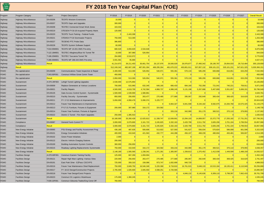

| Program     | Program Category             | Project       | <b>Project Description</b>                  | FY2018      | FY2019      | FY2020      | FY2021       | FY2022      | FY2023      | FY2024      | FY2025        | FY2026        | FY2027      | <b>Overall Result</b> |
|-------------|------------------------------|---------------|---------------------------------------------|-------------|-------------|-------------|--------------|-------------|-------------|-------------|---------------|---------------|-------------|-----------------------|
| Highway     | <b>Highway Miscellaneous</b> | EN-00206      | <b>TEOITS Western Extensions</b>            | 10,000      |             | $\Omega$    | $\Omega$     | $\Omega$    |             |             |               |               |             | 10,000                |
| Highway     | <b>Highway Miscellaneous</b> | EN-00207      | <b>TEOITS Gaps and Upgrades</b>             | 300,000     | $\Omega$    | $\Omega$    | $\Omega$     | $\Omega$    | $\Omega$    |             |               |               |             | 300,000               |
| Highway     | <b>Highway Miscellaneous</b> | EN-00208      | <b>TEOTEC Connected Smart Work Zones</b>    | 163,034     | $\Omega$    | $\Omega$    | $\Omega$     | $\Omega$    | $\Omega$    |             |               |               |             | 163,034               |
| Highway     | <b>Highway Miscellaneous</b> | EN-00219      | STEGEN FY16-18 Acquired Property Maint.     | 120,000     | $\Omega$    | $\Omega$    | $\Omega$     | $\Omega$    | $\Omega$    | $\Omega$    |               |               |             | 120,000               |
| Highway     | <b>Highway Miscellaneous</b> | EN-00220      | <b>TEOITS Truck Parking - Federal Funds</b> | $\Omega$    | 2,443,308   | $\Omega$    | $\Omega$     | $\Omega$    | $\Omega$    | $\Omega$    |               |               |             | 2,443,308             |
| Highway     | <b>Highway Miscellaneous</b> | EN-00221      | STEMS4 FY18 Stormwater Projects             | 750,000     | 513,300     | $\Omega$    | $\Omega$     | $\Omega$    | $\Omega$    | $\Omega$    |               |               |             | 1,263,300             |
| Highway     | <b>Highway Miscellaneous</b> | EN-00227      | <b>TEOENG PTC Probe Data</b>                | 386,800     | $\Omega$    | $\Omega$    | $\Omega$     | $\Omega$    | $\Omega$    |             |               |               |             | 386,800               |
| Highway     | <b>Highway Miscellaneous</b> | EN-00228      | <b>TEOITS System Software Support</b>       | 60,000      | $\Omega$    | $\Omega$    | $\Omega$     | $\Omega$    | $\Omega$    | $\Omega$    |               |               |             | 60,000                |
| Highway     | <b>Highway Miscellaneous</b> | T-010.00M001  | TEOITS MP 10-201 DMS Pre-entry              | 680,529     | 3,659,829   | 2,534,648   | $\Omega$     | $\Omega$    | $\Omega$    | $\Omega$    |               |               |             | 6,875,006             |
| Highway     | <b>Highway Miscellaneous</b> | T-122.18M001  | TEOTEC Allegheny/Blue Kit Tunnel TM         | 10,000      | 307,980     | 526,954     | $\Omega$     | $\Omega$    | $\Omega$    | $\Omega$    |               |               |             | 844,934               |
| Highway     | <b>Highway Miscellaneous</b> | T-186.20M001  | <b>TEOTEC Tuscarora Tunnel TM</b>           | 264,860     | 3,510,972   | $\Omega$    | $\Omega$     | $\Omega$    | $\Omega$    |             |               |               |             | 3,775,83              |
| Highway     | <b>Highway Miscellaneous</b> | T-286.00M001  | TEOITS MP 286-343 DMS Pre-entry             | 3,931,581   | 95,890      | $\Omega$    | $\Omega$     |             |             |             |               |               |             | 4,027,47              |
| Highway     | <b>Highway Miscellaneous</b> | <b>Result</b> |                                             | 41,214,973  | 39,211,403  | 30,661,754  | 26, 137, 976 | 26,500,029  | 26,976,877  | 27,460,342  | 28,190,787    | 29,064,033    | 29,710,484  | 305, 128, 658         |
| Highway     | Result                       |               |                                             | 512,249,342 | 482,667,199 | 487,001,304 | 469,295,264  | 481,670,222 | 493,801,911 | 507,857,132 | 509, 101, 221 | 535, 101, 231 | 547,621,325 | 5,026,366,15          |
| FEMO        | Re-capitalization            | EN-00209      | Communications Tower Inspection & Repair    | 2,400,000   | 513,300     | 526,954     | 540,971      | 555,361     | 570,133     | 585,299     | 600,868       | 616,851       | 633,259     | 7,542,994             |
| <b>FEMO</b> | Re-capitalization            | T-343,00F001  | <b>Construct Willow Grove Comm Tower</b>    | 450,000     | $\Omega$    | $\Omega$    | $\Omega$     | $\Omega$    | $\Omega$    |             |               |               |             | 450,000               |
| FEMO        | Re-capitalization            | Result        |                                             | 2,850,000   | 513,300     | 526,954     | 540,971      | 555,361     | 570,133     | 585,299     | 600,868       | 616,851       | 633,259     | 7,992,994             |
| <b>FEMO</b> | Sustainment                  | A-070.26F003  | Lehigh Tunnel Lighting Upgrades             | 2,530,000   | 12,575,850  | $\Omega$    | $\Omega$     |             |             |             |               |               |             | 15, 105, 85           |
| FEMO        | Sustainment                  | EN-00009      | Replace Generators at Various Locations     | 700,000     | 615,960     | 632,345     | 649,165      | 666,433     | 684,160     | 702,358     | 721,041       | 740,221       | 759,91      | 6,871,593             |
| <b>FEMO</b> | Sustainment                  | EN-00021      | <b>Facility Repairs</b>                     | 4,500,000   | 4,619,700   | 4,742,584   | 4,868,737    | 4,998,245   | 5,131,198   | 5,267,688   | 5,407,809     | 5,551,657     | 5,699,33    | 50,786,949            |
| <b>FEMO</b> | Sustainment                  | EN-00135      | Gate Access Control System - Systemwide     | 1,500,000   | 1,539,900   | 1,580,861   | $\Omega$     | $\Omega$    |             |             |               |               |             | 4,620,76              |
| FEMO        | Sustainment                  | EN-00210      | Facility Security - Systemwide              | 850,000     | 256,650     | 263,477     | 270,485      | 277,680     | 285,067     | 292,649     | 300,434       | 308,425       | 316,629     | 3,421,497             |
| FEMO        | Sustainment                  | EN-00211      | FY 17-21 Maintenance & Improvements         | 5,650,000   | 4,958,478   | 5,090,374   | 5,225,777    | $\Omega$    |             |             |               |               |             | 20,924,629            |
| <b>FEMO</b> | Sustainment                  | EN-00212      | Future Year Maintenance & Improvements      | $\Omega$    | $\Omega$    | $\Omega$    | $\Omega$     | 6,664,327   | 6,841,598   | 8,194,182   | 8,582,975     | 10,284,768    | 10,575,425  | 51,143,27             |
| FEMO        | Sustainment                  | EN-00213      | FY17-21 Furniture, Fixtures & Equipment     | 200,000     | 307,980     | 316,172     | 324,582      | $\Omega$    | $\Omega$    |             |               |               |             | 1,148,735             |
| FEMO        | Sustainment                  | EN-00214      | Future Year Furniture, Fixtures & Eqpmnt    | $\Omega$    | $\Omega$    | $\Omega$    | $\Omega$     | 333,216     | 342,080     | 351,179     | 360,521       | 370,110       | 379,955     | 2,137,062             |
| FEMO        | Sustainment                  | EN-00222      | District 2 Tunnel - Fire Alarm Upgrades     | 250,000     | 1,385,910   | $\Omega$    | $\Omega$     |             |             |             |               |               |             | 1,635,91              |
| <b>FEMO</b> | Sustainment                  | Result        |                                             | 16,180,000  | 26,260,428  | 12,625,813  | 11,338,747   | 12,939,901  | 13,284,103  | 14,808,057  | 15,372,779    | 17,255,182    | 17,731,25   | 157,796,26            |
| <b>FEMO</b> | Compliance                   | EN-00087      | <b>General Fund--Current FY</b>             | 3,000,000   | 3,079,800   | 3, 161, 723 | 3,245,825    | 3,332,163   | 3,420,799   | 3,511,792   | 3,605,206     | 3,701,104     | 3,799,55    | 33,857,96             |
| FEMO        | Compliance                   | <b>Result</b> |                                             | 3,000,000   | 3,079,800   | 3,161,723   | 3,245,825    | 3,332,163   | 3,420,799   | 3,511,792   | 3,605,206     | 3,701,104     | 3,799,554   | 33,857,966            |
| FEMO        | New Energy Initiative        | EN-00065      | PSU Energy and Facility Assessment Prog     | 436,180     | 487,635     | 500,606     | 513,922      | 527,593     | 541,627     | 556,034     | 570,824       | 586,008       | 601,596     | 5,322,02              |
| <b>FEMO</b> | New Energy Initiative        | EN-00101      | <b>Energy Conservation Initiatives</b>      | 400,000     | 410,640     | 421,563     | 432,777      | 444,288     | 456,107     | 468,239     | 480,694       | 493,481       | 506,607     | 4,514,395             |
| <b>FEMO</b> | New Energy Initiative        | EN-00102      | <b>Green Power Initiatives</b>              | 2,000       | $\Omega$    | $\Omega$    | $\Omega$     | $\Omega$    | $\Omega$    |             |               |               |             | 2,000                 |
| FEMO        | New Energy Initiative        | EN-00122      | <b>Electric Vehicle Charging Stations</b>   | 200,000     | $\Omega$    | $\Omega$    | $\Omega$     | $\Omega$    | $\Omega$    |             |               |               |             | 200,000               |
| FEMO        | New Energy Initiative        | EN-00169      | <b>Building Automation System Controls</b>  | 360,000     | 256,650     | $\Omega$    | $\Omega$     |             |             |             |               |               |             | 616,650               |
| FEMO        | New Energy Initiative        | EN-00215      | Roadway Lighting Replacements Systemwide    | 750,000     | 410,640     | 316,172     | 324,582      | 333,216     | 342,080     | 351,179     | 360,521       | 370,110       | 379,955     | 3,938,457             |
| <b>FEMO</b> | New Energy Initiative        | <b>Result</b> |                                             | 2,148,180   | 1,565,565   | 1,238,341   | 1,271,281    | 1,305,097   | 1,339,813   | 1,375,452   | 1,412,039     | 1,449,599     | 1,488,159   | 14,593,52             |
| FEMO        | <b>Facilities Design</b>     | A-070.60F001  | <b>Construct Eastem Training Facility</b>   | 125,000     | 667,290     | 1,659,904   | $\Omega$     | $\Omega$    | - 0         | $\Omega$    |               |               |             | 2,452,19              |
| <b>FEMO</b> | <b>Facilities Design</b>     | EN-00121      | Repair High Mast Lighting -Various Sites    | 220,000     | 256,650     | 263,477     | 270,485      | 277,680     | 285,067     | 292,649     | 300,434       | 308,425       | 316,629     | 2,791,49              |
| <b>FEMO</b> | <b>Facilities Design</b>     | EN-00191      | East Park Drive - EZPass CSC/VPS            | 725,000     | 359,310     | 158,086     | 973,747      | 1,832,690   | 940,720     |             |               |               |             | 4,989,55              |
| FEMO        | <b>Facilities Design</b>     | EN-00216      | Future Year Maintenance Shed Replacement    | 750,000     | 3,849,750   | 16,546,349  | 5,220,368    | 9,718,810   | 16,761,915  | 5,648,133   | 10,515,184    | 18, 135, 411  | 6,110,949   | 93,256,86             |
| <b>FEMO</b> | <b>Facilities Design</b>     | EN-00217      | FY 18-22 Design/Construction Projects       | 2,705,000   | 1,026,600   | 2,845,550   | 4,598,251    | 4,720,565   | $\Omega$    |             |               |               |             | 15,895,96             |
| <b>FEMO</b> | <b>Facilities Design</b>     | EN-00218      | Future Year Design/Const Projects           |             | $\Omega$    | $\Omega$    | $\Omega$     |             | 4,846,132   | 6,145,636   | 6,309,110     | 5,798,397     | 7,662,433   | 30,761,709            |
| <b>FEMO</b> | <b>Facilities Design</b>     | EN-00223      | <b>Construct D1 Logistics Warehouse</b>     | 175,000     | 1,360,245   | $\Omega$    | $\Omega$     | $\Omega$    | $\Omega$    | $\Omega$    |               |               |             | 1,535,245             |
| <b>FEMO</b> | <b>Facilities Design</b>     | T-039.10F001  | Construct Gibsonia Trades/Eng Const Off     | 760,000     | $\Omega$    | $\Omega$    | $\Omega$     |             |             |             |               |               |             | 760,000               |
|             |                              |               |                                             |             |             |             |              |             |             |             |               |               |             |                       |